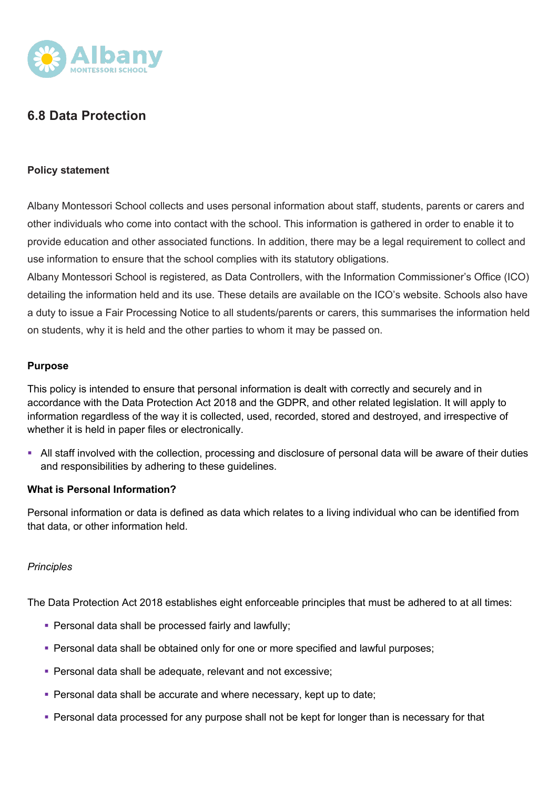

# **6.8 Data Protection**

#### **Policy statement**

Albany Montessori School collects and uses personal information about staff, students, parents or carers and other individuals who come into contact with the school. This information is gathered in order to enable it to provide education and other associated functions. In addition, there may be a legal requirement to collect and use information to ensure that the school complies with its statutory obligations.

Albany Montessori School is registered, as Data Controllers, with the Information Commissioner's Office (ICO) detailing the information held and its use. These details are available on the ICO's website. Schools also have a duty to issue a Fair Processing Notice to all students/parents or carers, this summarises the information held on students, why it is held and the other parties to whom it may be passed on.

#### **Purpose**

This policy is intended to ensure that personal information is dealt with correctly and securely and in accordance with the Data Protection Act 2018 and the GDPR, and other related legislation. It will apply to information regardless of the way it is collected, used, recorded, stored and destroyed, and irrespective of whether it is held in paper files or electronically.

• All staff involved with the collection, processing and disclosure of personal data will be aware of their duties and responsibilities by adhering to these guidelines.

#### **What is Personal Information?**

Personal information or data is defined as data which relates to a living individual who can be identified from that data, or other information held.

#### *Principles*

The Data Protection Act 2018 establishes eight enforceable principles that must be adhered to at all times:

- Personal data shall be processed fairly and lawfully;
- § Personal data shall be obtained only for one or more specified and lawful purposes;
- § Personal data shall be adequate, relevant and not excessive;
- Personal data shall be accurate and where necessary, kept up to date;
- Personal data processed for any purpose shall not be kept for longer than is necessary for that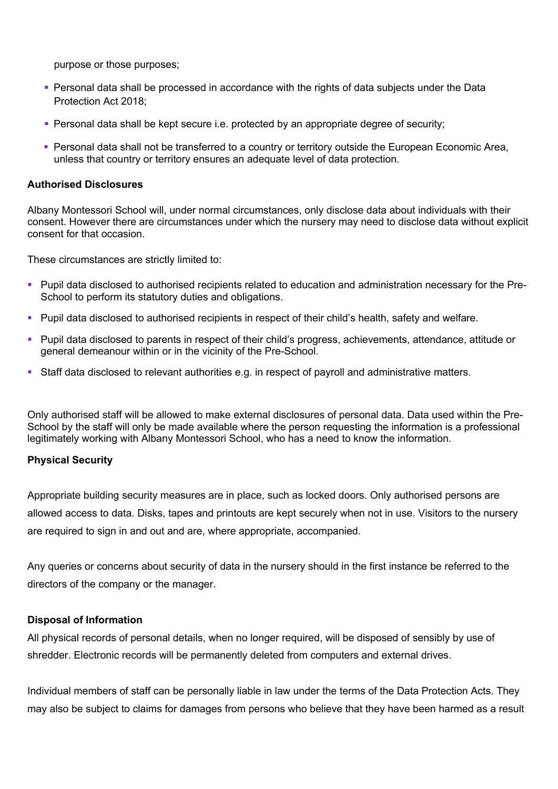purpose or those purposes;

- Personal data shall be processed in accordance with the rights of data subjects under the Data Protection Act 2018;
- Personal data shall be kept secure i.e. protected by an appropriate degree of security;
- § Personal data shall not be transferred to a country or territory outside the European Economic Area, unless that country or territory ensures an adequate level of data protection.

#### **Authorised Disclosures**

Albany Montessori School will, under normal circumstances, only disclose data about individuals with their consent. However there are circumstances under which the nursery may need to disclose data without explicit consent for that occasion.

These circumstances are strictly limited to:

- § Pupil data disclosed to authorised recipients related to education and administration necessary for the Pre-School to perform its statutory duties and obligations.
- § Pupil data disclosed to authorised recipients in respect of their child's health, safety and welfare.
- § Pupil data disclosed to parents in respect of their child's progress, achievements, attendance, attitude or general demeanour within or in the vicinity of the Pre-School.
- Staff data disclosed to relevant authorities e.g. in respect of payroll and administrative matters.

Only authorised staff will be allowed to make external disclosures of personal data. Data used within the Pre-School by the staff will only be made available where the person requesting the information is a professional legitimately working with Albany Montessori School, who has a need to know the information.

#### **Physical Security**

Appropriate building security measures are in place, such as locked doors. Only authorised persons are allowed access to data. Disks, tapes and printouts are kept securely when not in use. Visitors to the nursery are required to sign in and out and are, where appropriate, accompanied.

Any queries or concerns about security of data in the nursery should in the first instance be referred to the directors of the company or the manager.

#### **Disposal of Information**

All physical records of personal details, when no longer required, will be disposed of sensibly by use of shredder. Electronic records will be permanently deleted from computers and external drives.

Individual members of staff can be personally liable in law under the terms of the Data Protection Acts. They may also be subject to claims for damages from persons who believe that they have been harmed as a result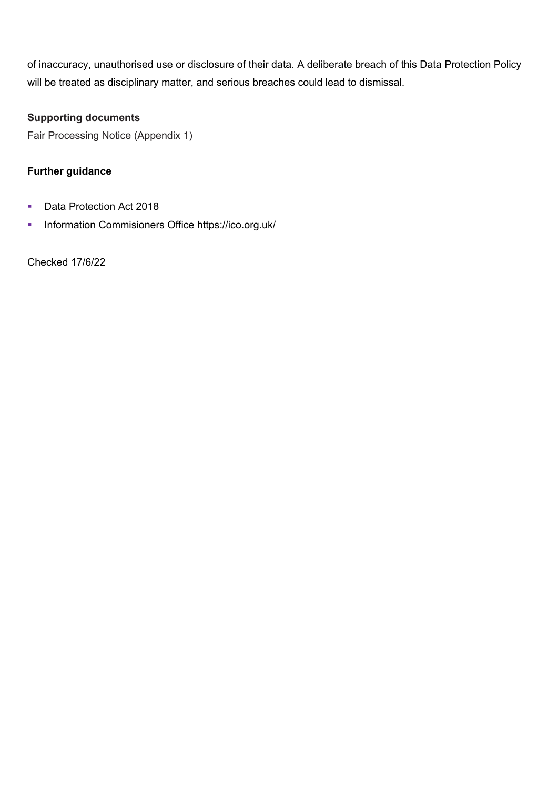of inaccuracy, unauthorised use or disclosure of their data. A deliberate breach of this Data Protection Policy will be treated as disciplinary matter, and serious breaches could lead to dismissal.

### **Supporting documents**

Fair Processing Notice (Appendix 1)

### **Further guidance**

- Data Protection Act 2018
- § Information Commisioners Office https://ico.org.uk/

Checked 17/6/22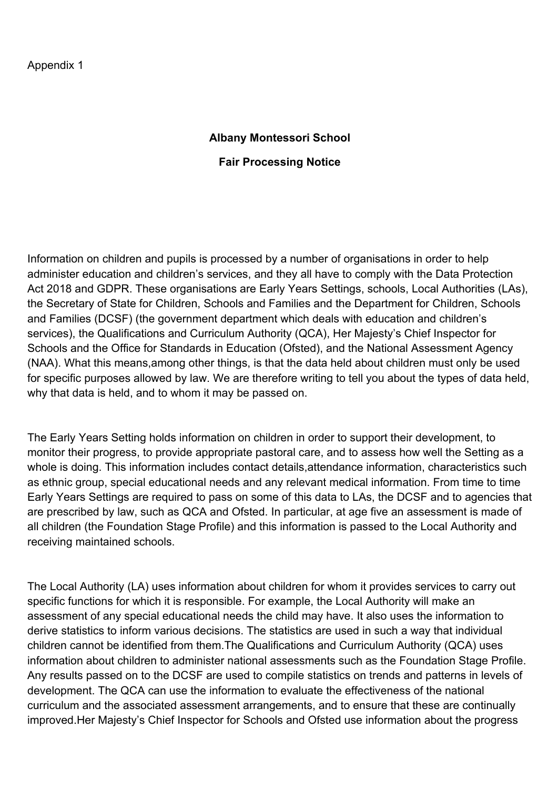## **Albany Montessori School**

## **Fair Processing Notice**

Information on children and pupils is processed by a number of organisations in order to help administer education and children's services, and they all have to comply with the Data Protection Act 2018 and GDPR. These organisations are Early Years Settings, schools, Local Authorities (LAs), the Secretary of State for Children, Schools and Families and the Department for Children, Schools and Families (DCSF) (the government department which deals with education and children's services), the Qualifications and Curriculum Authority (QCA), Her Majesty's Chief Inspector for Schools and the Office for Standards in Education (Ofsted), and the National Assessment Agency (NAA). What this means,among other things, is that the data held about children must only be used for specific purposes allowed by law. We are therefore writing to tell you about the types of data held, why that data is held, and to whom it may be passed on.

The Early Years Setting holds information on children in order to support their development, to monitor their progress, to provide appropriate pastoral care, and to assess how well the Setting as a whole is doing. This information includes contact details,attendance information, characteristics such as ethnic group, special educational needs and any relevant medical information. From time to time Early Years Settings are required to pass on some of this data to LAs, the DCSF and to agencies that are prescribed by law, such as QCA and Ofsted. In particular, at age five an assessment is made of all children (the Foundation Stage Profile) and this information is passed to the Local Authority and receiving maintained schools.

The Local Authority (LA) uses information about children for whom it provides services to carry out specific functions for which it is responsible. For example, the Local Authority will make an assessment of any special educational needs the child may have. It also uses the information to derive statistics to inform various decisions. The statistics are used in such a way that individual children cannot be identified from them.The Qualifications and Curriculum Authority (QCA) uses information about children to administer national assessments such as the Foundation Stage Profile. Any results passed on to the DCSF are used to compile statistics on trends and patterns in levels of development. The QCA can use the information to evaluate the effectiveness of the national curriculum and the associated assessment arrangements, and to ensure that these are continually improved.Her Majesty's Chief Inspector for Schools and Ofsted use information about the progress